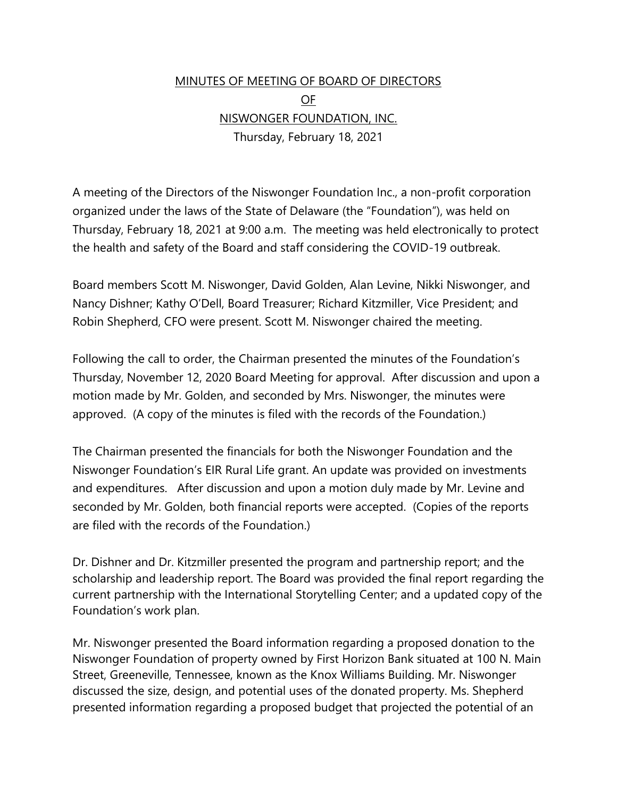## MINUTES OF MEETING OF BOARD OF DIRECTORS OF NISWONGER FOUNDATION, INC. Thursday, February 18, 2021

A meeting of the Directors of the Niswonger Foundation Inc., a non-profit corporation organized under the laws of the State of Delaware (the "Foundation"), was held on Thursday, February 18, 2021 at 9:00 a.m. The meeting was held electronically to protect the health and safety of the Board and staff considering the COVID-19 outbreak.

Board members Scott M. Niswonger, David Golden, Alan Levine, Nikki Niswonger, and Nancy Dishner; Kathy O'Dell, Board Treasurer; Richard Kitzmiller, Vice President; and Robin Shepherd, CFO were present. Scott M. Niswonger chaired the meeting.

Following the call to order, the Chairman presented the minutes of the Foundation's Thursday, November 12, 2020 Board Meeting for approval. After discussion and upon a motion made by Mr. Golden, and seconded by Mrs. Niswonger, the minutes were approved. (A copy of the minutes is filed with the records of the Foundation.)

The Chairman presented the financials for both the Niswonger Foundation and the Niswonger Foundation's EIR Rural Life grant. An update was provided on investments and expenditures. After discussion and upon a motion duly made by Mr. Levine and seconded by Mr. Golden, both financial reports were accepted. (Copies of the reports are filed with the records of the Foundation.)

Dr. Dishner and Dr. Kitzmiller presented the program and partnership report; and the scholarship and leadership report. The Board was provided the final report regarding the current partnership with the International Storytelling Center; and a updated copy of the Foundation's work plan.

Mr. Niswonger presented the Board information regarding a proposed donation to the Niswonger Foundation of property owned by First Horizon Bank situated at 100 N. Main Street, Greeneville, Tennessee, known as the Knox Williams Building. Mr. Niswonger discussed the size, design, and potential uses of the donated property. Ms. Shepherd presented information regarding a proposed budget that projected the potential of an